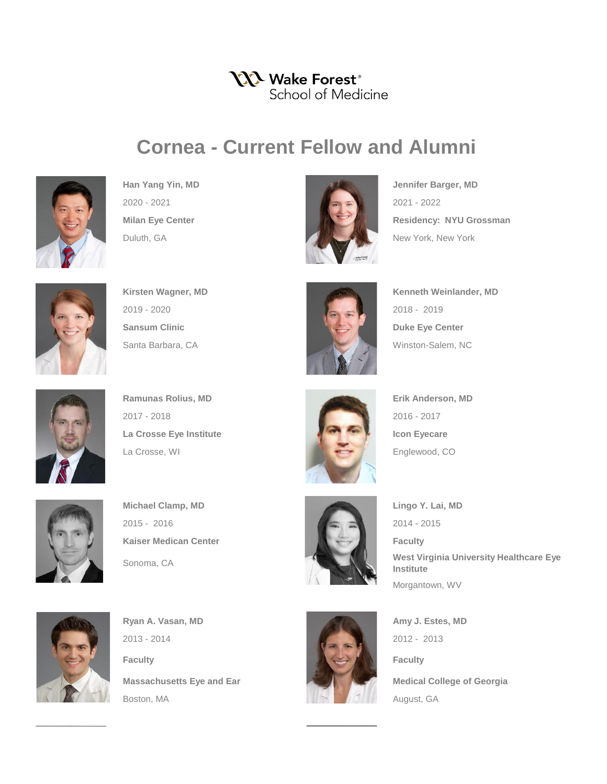## YYY Wake Forest<sup>®</sup> School of Medicine

## **Cornea - Current Fellow and Alumni**





**Milan Eye Center Residency: NYU Grossman** 







**Ramunas Rolius, MD Erik Anderson, MD** 2017 - 2018 2016 - 2017 La Crosse Eye Institute **Institute Icon Eyecare** La Crosse, WI **Englewood, CO** 



 $2015 - 2016$  2014 - 2015 **Kaiser Medican Center Faculty Faculty** 



Sonoma, CA **West Virginia University Healthcare Eye Institute** Morgantown, WV



**Ryan A. Vasan, MD Amy J. Estes, MD** 2013 - 2014 2012 - 2013 **Faculty Faculty Faculty** Boston, MA August, GA



**Massachusetts Eye and Ear Medical College of Georgia**